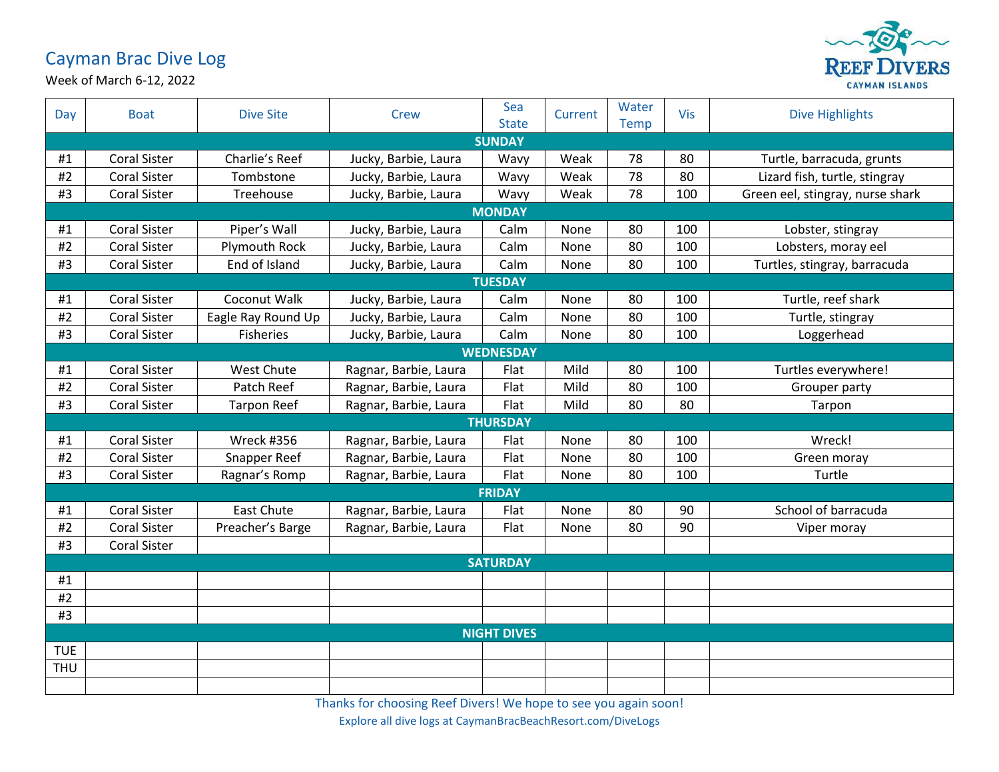## Cayman Brac Dive Log



Week of March 6-12, 2022

| Day                | <b>Boat</b>         | <b>Dive Site</b>   | <b>Crew</b>           | Sea<br><b>State</b> | Current | Water<br><b>Temp</b> | Vis | <b>Dive Highlights</b>           |  |  |  |
|--------------------|---------------------|--------------------|-----------------------|---------------------|---------|----------------------|-----|----------------------------------|--|--|--|
| <b>SUNDAY</b>      |                     |                    |                       |                     |         |                      |     |                                  |  |  |  |
| #1                 | <b>Coral Sister</b> | Charlie's Reef     | Jucky, Barbie, Laura  | Wavy                | Weak    | 78                   | 80  | Turtle, barracuda, grunts        |  |  |  |
| #2                 | <b>Coral Sister</b> | Tombstone          | Jucky, Barbie, Laura  | Wavy                | Weak    | 78                   | 80  | Lizard fish, turtle, stingray    |  |  |  |
| #3                 | <b>Coral Sister</b> | Treehouse          | Jucky, Barbie, Laura  | Wavy                | Weak    | 78                   | 100 | Green eel, stingray, nurse shark |  |  |  |
| <b>MONDAY</b>      |                     |                    |                       |                     |         |                      |     |                                  |  |  |  |
| #1                 | <b>Coral Sister</b> | Piper's Wall       | Jucky, Barbie, Laura  | Calm                | None    | 80                   | 100 | Lobster, stingray                |  |  |  |
| #2                 | <b>Coral Sister</b> | Plymouth Rock      | Jucky, Barbie, Laura  | Calm                | None    | 80                   | 100 | Lobsters, moray eel              |  |  |  |
| #3                 | <b>Coral Sister</b> | End of Island      | Jucky, Barbie, Laura  | Calm                | None    | 80                   | 100 | Turtles, stingray, barracuda     |  |  |  |
| <b>TUESDAY</b>     |                     |                    |                       |                     |         |                      |     |                                  |  |  |  |
| #1                 | <b>Coral Sister</b> | Coconut Walk       | Jucky, Barbie, Laura  | Calm                | None    | 80                   | 100 | Turtle, reef shark               |  |  |  |
| #2                 | <b>Coral Sister</b> | Eagle Ray Round Up | Jucky, Barbie, Laura  | Calm                | None    | 80                   | 100 | Turtle, stingray                 |  |  |  |
| #3                 | <b>Coral Sister</b> | <b>Fisheries</b>   | Jucky, Barbie, Laura  | Calm                | None    | 80                   | 100 | Loggerhead                       |  |  |  |
|                    | <b>WEDNESDAY</b>    |                    |                       |                     |         |                      |     |                                  |  |  |  |
| #1                 | <b>Coral Sister</b> | <b>West Chute</b>  | Ragnar, Barbie, Laura | Flat                | Mild    | 80                   | 100 | Turtles everywhere!              |  |  |  |
| $\#2$              | Coral Sister        | Patch Reef         | Ragnar, Barbie, Laura | Flat                | Mild    | 80                   | 100 | Grouper party                    |  |  |  |
| #3                 | <b>Coral Sister</b> | <b>Tarpon Reef</b> | Ragnar, Barbie, Laura | Flat                | Mild    | 80                   | 80  | Tarpon                           |  |  |  |
| <b>THURSDAY</b>    |                     |                    |                       |                     |         |                      |     |                                  |  |  |  |
| #1                 | <b>Coral Sister</b> | Wreck #356         | Ragnar, Barbie, Laura | Flat                | None    | 80                   | 100 | Wreck!                           |  |  |  |
| $\#2$              | <b>Coral Sister</b> | Snapper Reef       | Ragnar, Barbie, Laura | Flat                | None    | 80                   | 100 | Green moray                      |  |  |  |
| #3                 | <b>Coral Sister</b> | Ragnar's Romp      | Ragnar, Barbie, Laura | Flat                | None    | 80                   | 100 | Turtle                           |  |  |  |
| <b>FRIDAY</b>      |                     |                    |                       |                     |         |                      |     |                                  |  |  |  |
| #1                 | <b>Coral Sister</b> | <b>East Chute</b>  | Ragnar, Barbie, Laura | Flat                | None    | 80                   | 90  | School of barracuda              |  |  |  |
| #2                 | <b>Coral Sister</b> | Preacher's Barge   | Ragnar, Barbie, Laura | Flat                | None    | 80                   | 90  | Viper moray                      |  |  |  |
| #3                 | <b>Coral Sister</b> |                    |                       |                     |         |                      |     |                                  |  |  |  |
|                    | <b>SATURDAY</b>     |                    |                       |                     |         |                      |     |                                  |  |  |  |
| #1                 |                     |                    |                       |                     |         |                      |     |                                  |  |  |  |
| #2                 |                     |                    |                       |                     |         |                      |     |                                  |  |  |  |
| #3                 |                     |                    |                       |                     |         |                      |     |                                  |  |  |  |
| <b>NIGHT DIVES</b> |                     |                    |                       |                     |         |                      |     |                                  |  |  |  |
| <b>TUE</b>         |                     |                    |                       |                     |         |                      |     |                                  |  |  |  |
| <b>THU</b>         |                     |                    |                       |                     |         |                      |     |                                  |  |  |  |
|                    |                     |                    |                       |                     |         |                      |     |                                  |  |  |  |

Thanks for choosing Reef Divers! We hope to see you again soon!

Explore all dive logs at CaymanBracBeachResort.com/DiveLogs